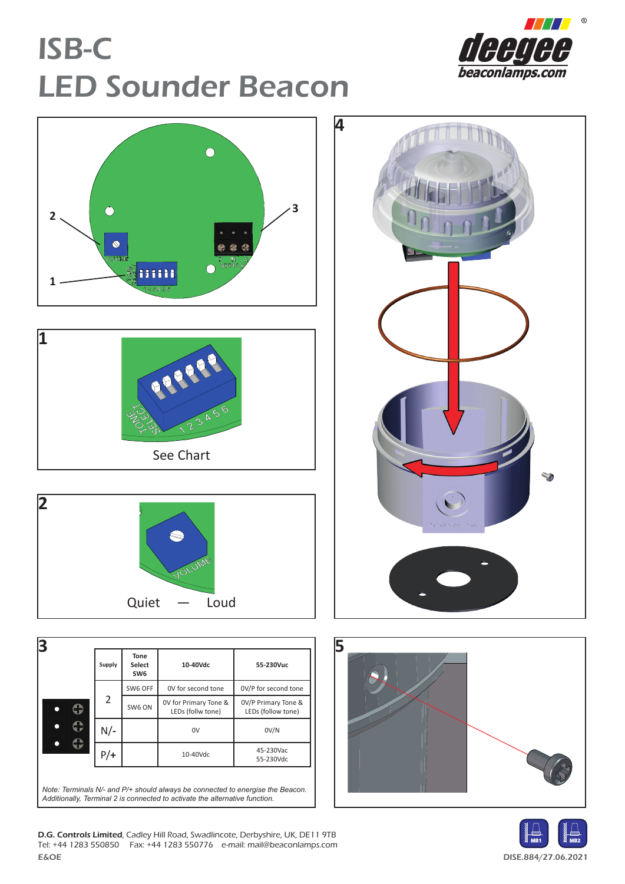## ISB-C LED Sounder Beacon









|     |       | SW6 OFF | OV for second tone                         | OV/P for second tone                      |  |
|-----|-------|---------|--------------------------------------------|-------------------------------------------|--|
|     | 2     | SW6 ON  | OV for Primary Tone &<br>LEDs (follw tone) | 0V/P Primary Tone &<br>LEDs (follow tone) |  |
| O   | N/-   |         | 0V                                         | OV/N                                      |  |
| : 2 | $P/+$ |         | 10-40Vdc                                   | 45-230Vac<br>55-230Vdc                    |  |







E&OE DISE.884/27.06.2021 D.G. Controls Limited, Cadley Hill Road, Swadlincote, Derbyshire, UK, DE11 9TB Tel: +44 1283 550850 Fax: +44 1283 550776 e-mail: mail@beaconlamps.com